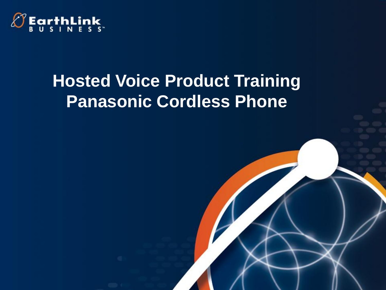

## **Hosted Voice Product Training Panasonic Cordless Phone**

1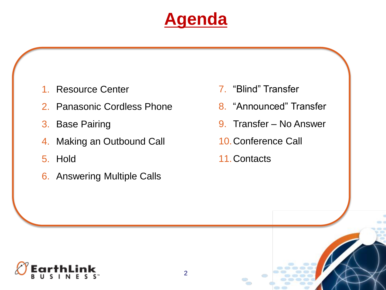## **Agenda**

- 1. Resource Center
- 2. Panasonic Cordless Phone
- 3. Base Pairing
- 4. Making an Outbound Call
- 5. Hold
- 6. Answering Multiple Calls
- 7. "Blind" Transfer
- 8. "Announced" Transfer
- 9. Transfer No Answer
- 10.Conference Call
- 11.Contacts

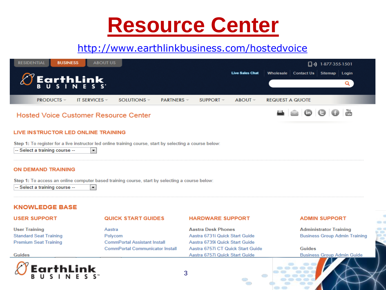# **Resource Center**

#### http://www.earthlinkbusiness.com/hostedvoice

| <b>ABOUT US</b><br><b>RESIDENTIAL</b><br><b>BUSINESS</b> | $\Box$ ·) 1-877-355-1501                                               |  |
|----------------------------------------------------------|------------------------------------------------------------------------|--|
|                                                          | Contact Us Sitemap Login<br><b>Live Sales Chat</b><br><b>Wholesale</b> |  |
| $\varnothing$ EarthLink                                  |                                                                        |  |
| <b>PRODUCTS</b> $=$<br>IT SERVICES $=$<br>$SOLUTIONS =$  | PARTNERS<br>$SUPPORT =$<br>$ABOUT =$<br><b>REQUEST A QUOTE</b>         |  |
| <b>Hosted Voice Customer Resource Center</b>             | You<br>Tuke<br>- 0<br>$\blacksquare$                                   |  |

#### LIVE INSTRUCTOR LED ONLINE TRAINING

Step 1: To register for a live instructor led online training course, start by selecting a course below:

 $\left| \cdot \right|$ 

 $\blacktriangledown$ 

-- Select a training course --

#### **ON DEMAND TRAINING**

Step 1: To access an online computer based training course, start by selecting a course below:

-- Select a training course --

#### **KNOWLEDGE BASE**

#### **USER SUPPORT**

**Standard Seat Training** 

**Premium Seat Training** 

**User Training** 

**Guides** 

#### **QUICK START GUIDES**

#### **HARDWARE SUPPORT**

Aastra Polycom **CommPortal Assistant Install CommPortal Communicator Install** 

**Aastra Desk Phones** Aastra 6731i Quick Start Guide Aastra 6739i Quick Start Guide Aastra 6757i CT Quick Start Guide Aastra 6757i Quick Start Guide

450

#### **ADMIN SUPPORT**

**Administrator Training Business Group Admin Training** 

**Guides Business Group Admin Guide** 



3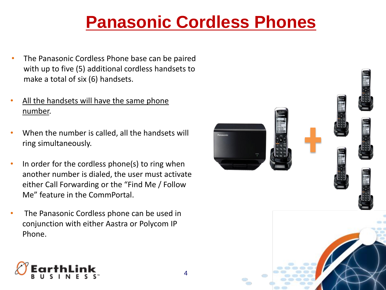# **Panasonic Cordless Phones**

- The Panasonic Cordless Phone base can be paired with up to five (5) additional cordless handsets to make a total of six (6) handsets.
- All the handsets will have the same phone number.
- When the number is called, all the handsets will ring simultaneously.
- In order for the cordless phone(s) to ring when another number is dialed, the user must activate either Call Forwarding or the "Find Me / Follow Me" feature in the CommPortal.
- The Panasonic Cordless phone can be used in conjunction with either Aastra or Polycom IP Phone.



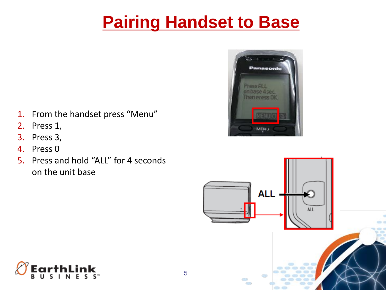# **Pairing Handset to Base**

- 1. From the handset press "Menu"
- 2. Press 1,
- 3. Press 3,
- 4. Press 0
- 5. Press and hold "ALL" for 4 seconds on the unit base





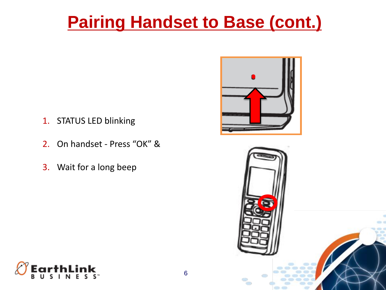# **Pairing Handset to Base (cont.)**

- 1. STATUS LED blinking
- 2. On handset Press "OK" &
- 3. Wait for a long beep





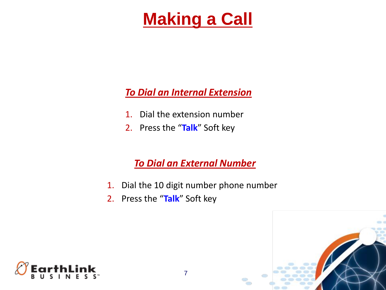# **Making a Call**

#### *To Dial an Internal Extension*

- 1. Dial the extension number
- 2. Press the "**Talk**" Soft key

### *To Dial an External Number*

- 1. Dial the 10 digit number phone number
- 2. Press the "**Talk**" Soft key



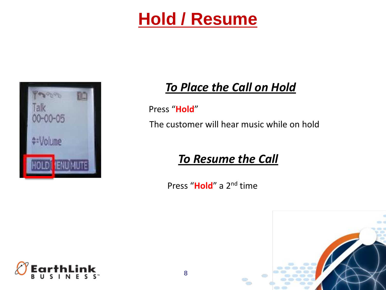## **Hold / Resume**



### *To Place the Call on Hold*

Press "**Hold**"

The customer will hear music while on hold

### *To Resume the Call*

Press "**Hold**" a 2nd time



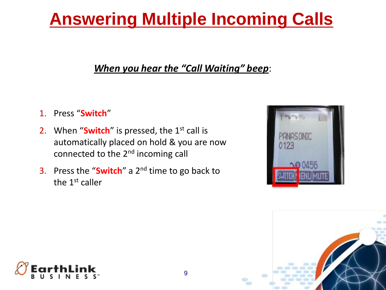# **Answering Multiple Incoming Calls**

#### *When you hear the "Call Waiting" beep*:

- 1. Press "**Switch**"
- 2. When "**Switch**" is pressed, the 1<sup>st</sup> call is automatically placed on hold & you are now connected to the 2nd incoming call
- 3. Press the "**Switch**" a 2nd time to go back to the  $1<sup>st</sup>$  caller





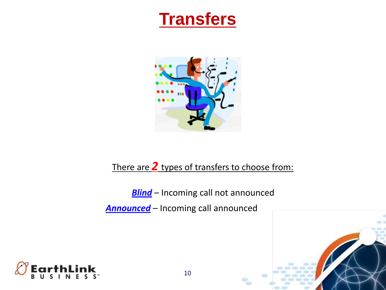### **Transfers**



#### There are *2* types of transfers to choose from:

**Blind** – Incoming call not announced

*Announced* – Incoming call announced

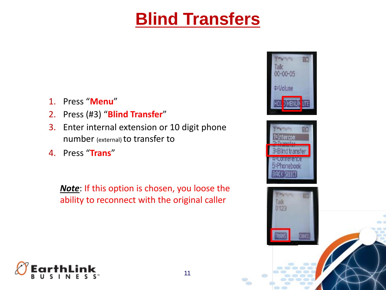## **Blind Transfers**

- 1. Press "**Menu**"
- 2. Press (#3) "**Blind Transfer**"
- 3. Enter internal extension or 10 digit phone number (external) to transfer to
- 4. Press "**Trans**"

*Note*: If this option is chosen, you loose the ability to reconnect with the original caller







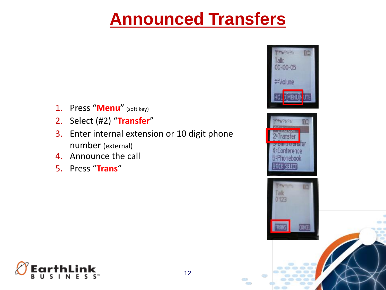## **Announced Transfers**

- 1. Press "**Menu**" (soft key)
- 2. Select (#2) "**Transfer**"
- 3. Enter internal extension or 10 digit phone number (external)
- 4. Announce the call
- 5. Press "**Trans**"







60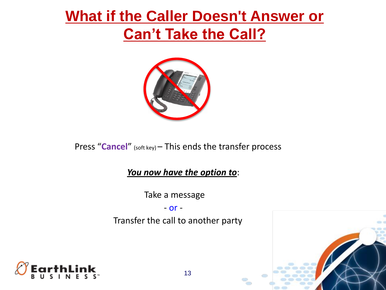### **What if the Caller Doesn't Answer or Can't Take the Call?**



Press "**Cancel**" (soft key) – This ends the transfer process

*You now have the option to*:

Take a message

- or -

Transfer the call to another party

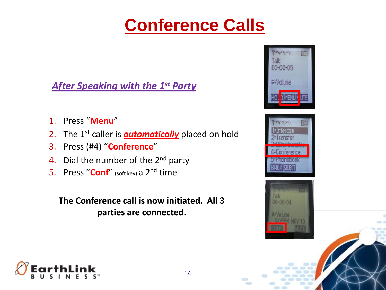# **Conference Calls**

#### *After Speaking with the 1st Party*

- 1. Press "**Menu**"
- 2. The 1<sup>st</sup> caller is *automatically* placed on hold
- 3. Press (#4) "**Conference**"
- 4. Dial the number of the  $2^{nd}$  party
- 5. Press "**Conf**" (soft key) a 2nd time

**The Conference call is now initiated. All 3 parties are connected.**